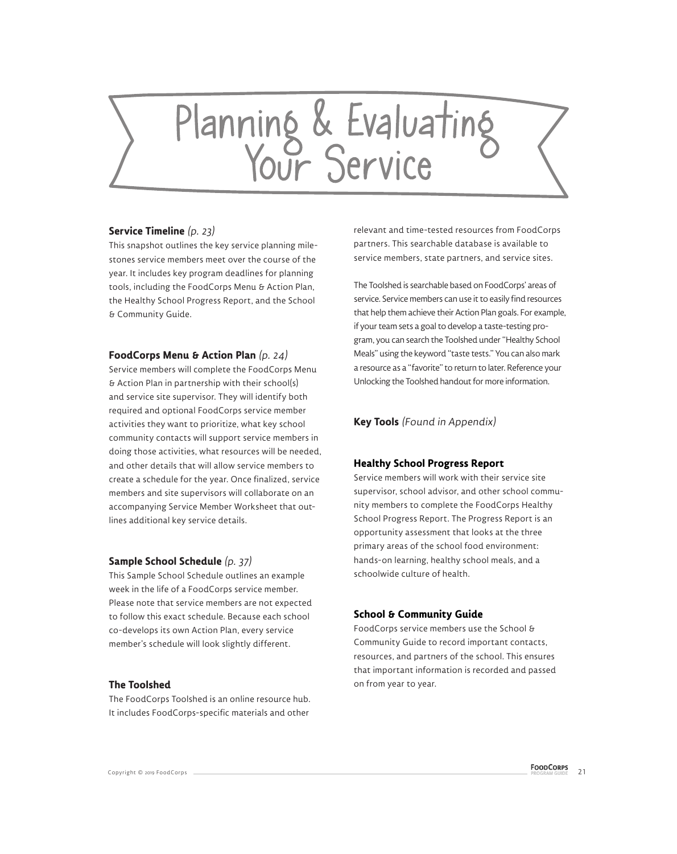# Planning & Evaluating

### **Service Timeline** (p. 23)

This snapshot outlines the key service planning milestones service members meet over the course of the year. It includes key program deadlines for planning tools, including the FoodCorps Menu & Action Plan, the Healthy School Progress Report, and the School & Community Guide.

### **FoodCorps Menu & Action Plan** (p. 24)

Service members will complete the FoodCorps Menu & Action Plan in partnership with their school(s) and service site supervisor. They will identify both required and optional FoodCorps service member activities they want to prioritize, what key school community contacts will support service members in doing those activities, what resources will be needed, and other details that will allow service members to create a schedule for the year. Once finalized, service members and site supervisors will collaborate on an accompanying Service Member Worksheet that outlines additional key service details.

### **Sample School Schedule** (p. 37)

This Sample School Schedule outlines an example week in the life of a FoodCorps service member. Please note that service members are not expected to follow this exact schedule. Because each school co-develops its own Action Plan, every service member's schedule will look slightly different.

### **The Toolshed**

The FoodCorps Toolshed is an online resource hub. It includes FoodCorps-specific materials and other

relevant and time-tested resources from FoodCorps partners. This searchable database is available to service members, state partners, and service sites.

The Toolshed is searchable based on FoodCorps' areas of service. Service members can use it to easily find resources that help them achieve their Action Plan goals. For example, if your team sets a goal to develop a taste-testing program, you can search the Toolshed under "Healthy School Meals" using the keyword "taste tests." You can also mark a resource as a "favorite" to return to later. Reference your Unlocking the Toolshed handout for more information.

### **Key Tools** (Found in Appendix)

### **Healthy School Progress Report**

Service members will work with their service site supervisor, school advisor, and other school community members to complete the FoodCorps Healthy School Progress Report. The Progress Report is an opportunity assessment that looks at the three primary areas of the school food environment: hands-on learning, healthy school meals, and a schoolwide culture of health.

## **School & Community Guide**

FoodCorps service members use the School & Community Guide to record important contacts, resources, and partners of the school. This ensures that important information is recorded and passed on from year to year.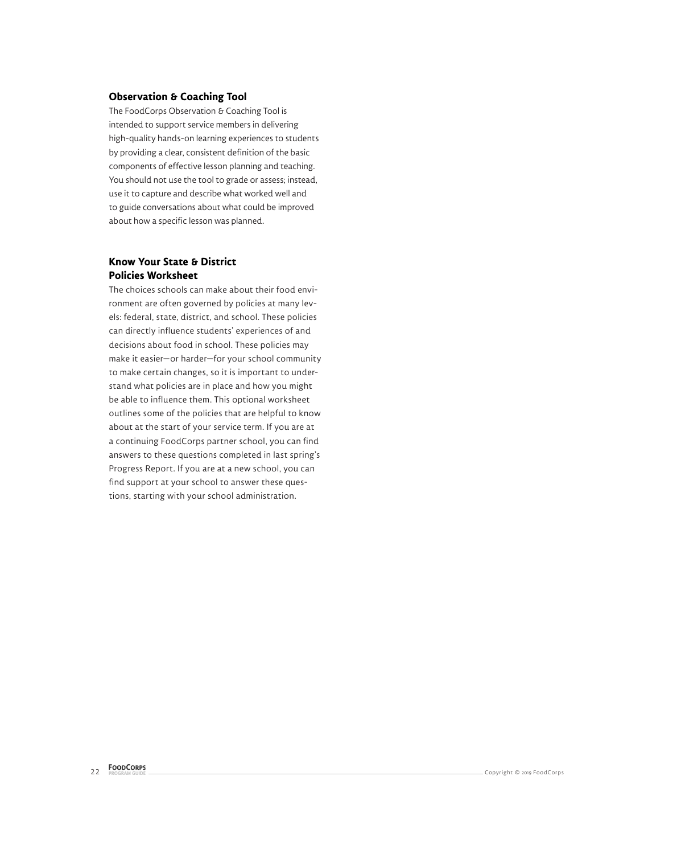### **Observation & Coaching Tool**

The FoodCorps Observation & Coaching Tool is intended to support service members in delivering high-quality hands-on learning experiences to students by providing a clear, consistent definition of the basic components of effective lesson planning and teaching. You should not use the tool to grade or assess; instead, use it to capture and describe what worked well and to guide conversations about what could be improved about how a specific lesson was planned.

## **Know Your State & District Policies Worksheet**

The choices schools can make about their food environment are often governed by policies at many levels: federal, state, district, and school. These policies can directly influence students' experiences of and decisions about food in school. These policies may make it easier—or harder—for your school community to make certain changes, so it is important to understand what policies are in place and how you might be able to influence them. This optional worksheet outlines some of the policies that are helpful to know about at the start of your service term. If you are at a continuing FoodCorps partner school, you can find answers to these questions completed in last spring's Progress Report. If you are at a new school, you can find support at your school to answer these questions, starting with your school administration.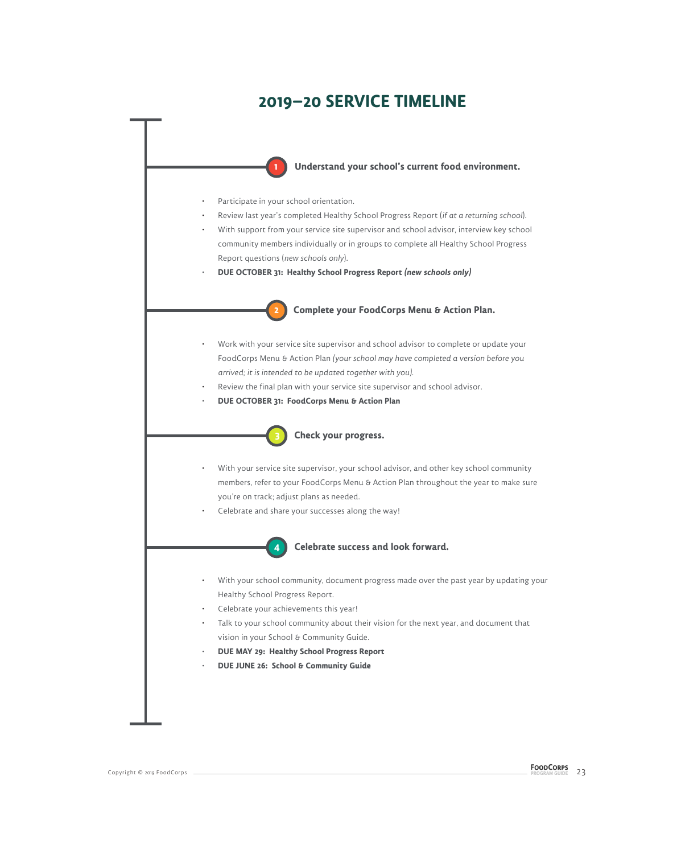# **2019–20 SERVICE TIMELINE**

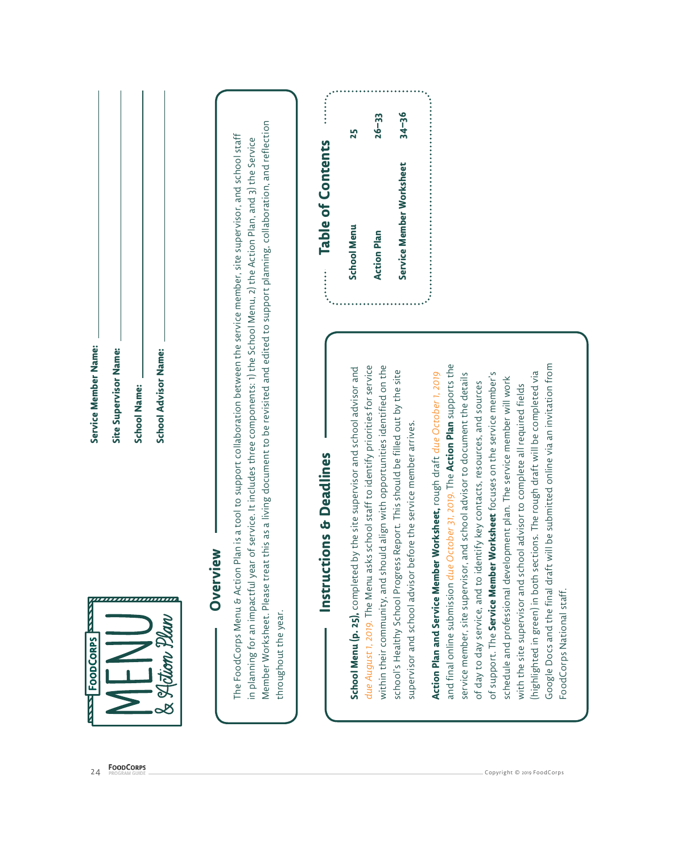|                                                                                                     |                                                                                                                                                                                                                                                                                                                                                                              |                                     | 25                                        | $26 - 33$                                                                            | $34 - 36$                                                                            |                                                                           |                                                                                       |                                                                                      |                                                                          |                                                                             |                                                                                |                                                                                 |
|-----------------------------------------------------------------------------------------------------|------------------------------------------------------------------------------------------------------------------------------------------------------------------------------------------------------------------------------------------------------------------------------------------------------------------------------------------------------------------------------|-------------------------------------|-------------------------------------------|--------------------------------------------------------------------------------------|--------------------------------------------------------------------------------------|---------------------------------------------------------------------------|---------------------------------------------------------------------------------------|--------------------------------------------------------------------------------------|--------------------------------------------------------------------------|-----------------------------------------------------------------------------|--------------------------------------------------------------------------------|---------------------------------------------------------------------------------|
|                                                                                                     |                                                                                                                                                                                                                                                                                                                                                                              | <b>Table of Contents</b><br><b></b> | <b>School Menu</b>                        | <b>Action Plan</b>                                                                   | Service Member Worksheet                                                             |                                                                           |                                                                                       |                                                                                      |                                                                          |                                                                             |                                                                                |                                                                                 |
| Service Member Name:<br><b>School Advisor Name:</b><br>Site Supervisor Name:<br><b>School Name:</b> | living document to be revisited and edited to support planning, collaboration, and reflection<br>The FoodCorps Menu & Action Plan is a tool to support collaboration between the service member, site supervisor, and school staff<br>in planning for an impactful year of service. It includes three components: 1) the School Menu, 2) the Action Plan, and 3) the Service | <b>Deadlines</b><br>ر<br>پ          | e supervisor and school advisor and       | staff to identify priorities for service<br>with opportunities identified on the     | This should be filled out by the site<br>service member arrives.                     |                                                                           | and final online submission due October 31, 2019. The <b>Action Plan</b> supports the | et focuses on the service member's<br>contacts, resources, and sources               |                                                                          |                                                                             |                                                                                | Google Docs and the final draft will be submitted online via an invitation from |
| ,,,,,,,,,,,,,,,,,<br>an<br><b>FoodCoRPS</b><br>lclion )<br>$\frac{1}{2}$                            | Member Worksheet. Please treat this as a<br>Overview<br>throughout the year.                                                                                                                                                                                                                                                                                                 | Instructions                        | School Menu (p. 25), completed by the sit | within their community, and should align<br>due August 1, 2019. The Menu asks school | school's Healthy School Progress Report.<br>supervisor and school advisor before the | Action Plan and Service Member Worksheet, rough draft due October 1, 2019 | service member, site supervisor, and school advisor to document the details           | of day to day service, and to identify key<br>of support. The Service Member Workshe | schedule and professional development plan. The service member will work | with the site supervisor and school advisor to complete all required fields | (highlighted in green) in both sections. The rough draft will be completed via | FoodCorps National staff.                                                       |
| <b>FOODCORPS</b><br>PROGRAM GUIDE<br>24                                                             |                                                                                                                                                                                                                                                                                                                                                                              |                                     |                                           |                                                                                      |                                                                                      |                                                                           |                                                                                       |                                                                                      | Copyright © 2019 FoodCorps                                               |                                                                             |                                                                                |                                                                                 |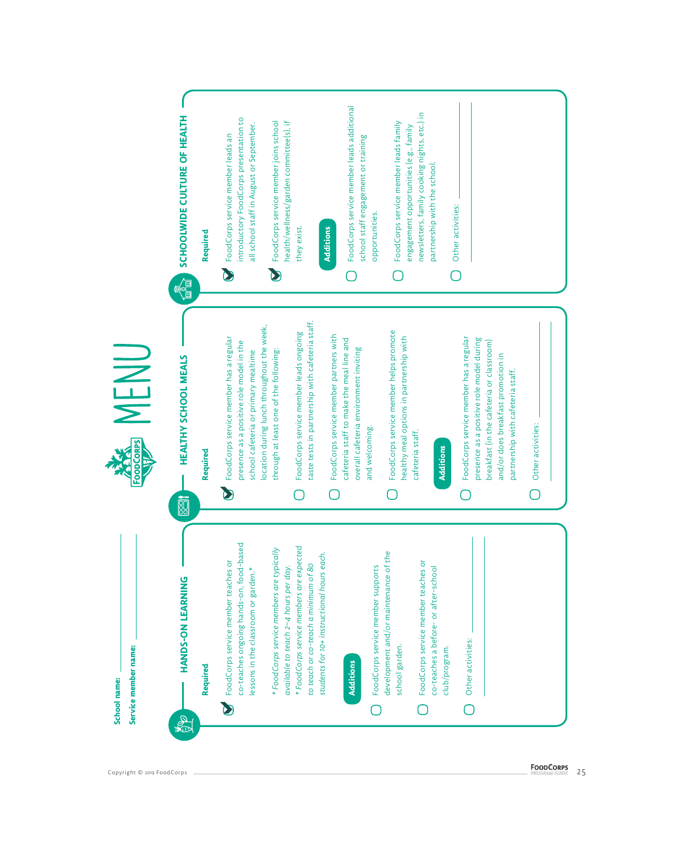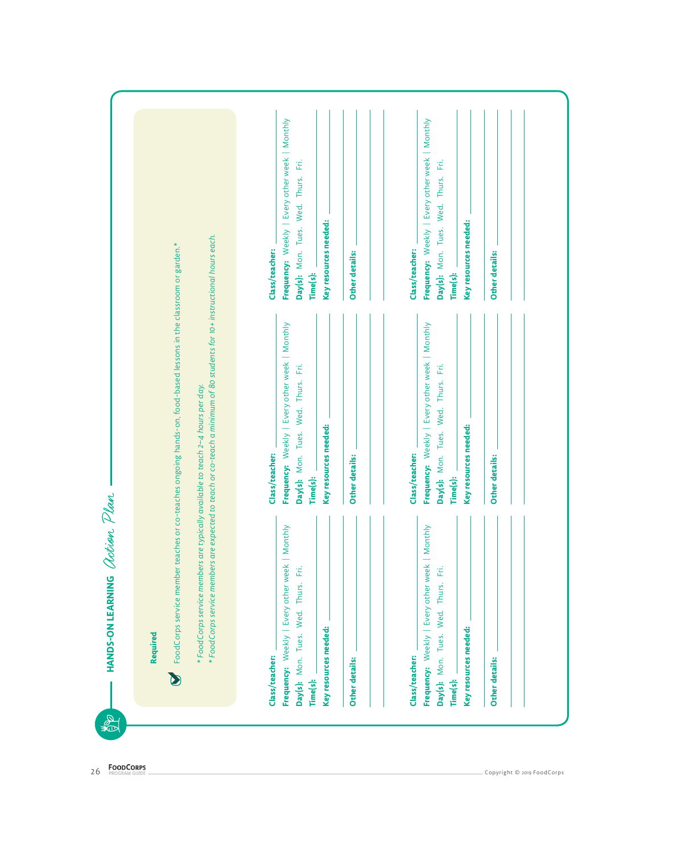| FoodCorps service member teaches<br>$\mathbf C$       | or co-teaches ongoing hands-on, food-based lessons in the classroom or garden.*                                                                                          |                                                   |
|-------------------------------------------------------|--------------------------------------------------------------------------------------------------------------------------------------------------------------------------|---------------------------------------------------|
| * FoodCorps service members are typ                   | * FoodCorps service members are expected to teach or co-teach a minimum of 80 students for 10+ instructional hours each.<br>ically available to teach 2-4 hours per day. |                                                   |
| Class/teacher:                                        | Class/teacher:                                                                                                                                                           | Class/teacher:                                    |
| Frequency: Weekly   Every other week   Monthly        | Frequency: Weekly   Every other week   Monthly                                                                                                                           | Frequency: Weekly   Every other week   Monthly    |
| Ë<br>Wed. Thurs.<br>Tues.<br>Day(s): Mon.<br>Time(s): | Wed. Thurs. Fri.<br>Day(s): Mon. Tues.<br>Time(s):                                                                                                                       | Έİ.<br>Day(s): Mon. Tues. Wed. Thurs.<br>Time(s): |
| Key resources needed:                                 | Key resources needed:                                                                                                                                                    | Key resources needed:                             |
|                                                       |                                                                                                                                                                          |                                                   |
| Other details:                                        | <b>Other details:</b>                                                                                                                                                    | Other details:                                    |
| Class/teacher:                                        | Class/teacher:                                                                                                                                                           | Class/teacher:                                    |
| Frequency: Weekly   Every other week   Monthly        | Frequency: Weekly   Every other week   Monthly                                                                                                                           | Frequency: Weekly   Every other week   Monthly    |
| Ë<br>Wed. Thurs.<br>Tues.<br>Day(s): Mon.<br>Time(s): | Wed. Thurs. Fri.<br>Day(s): Mon. Tues.<br>Time(s):                                                                                                                       | Day(s): Mon. Tues. Wed. Thurs. Fri.<br>Time(s):   |
| Key resources needed:                                 | Key resources needed:                                                                                                                                                    | Key resources needed:                             |
| Other details:                                        | <b>Other details:</b>                                                                                                                                                    | Other details:                                    |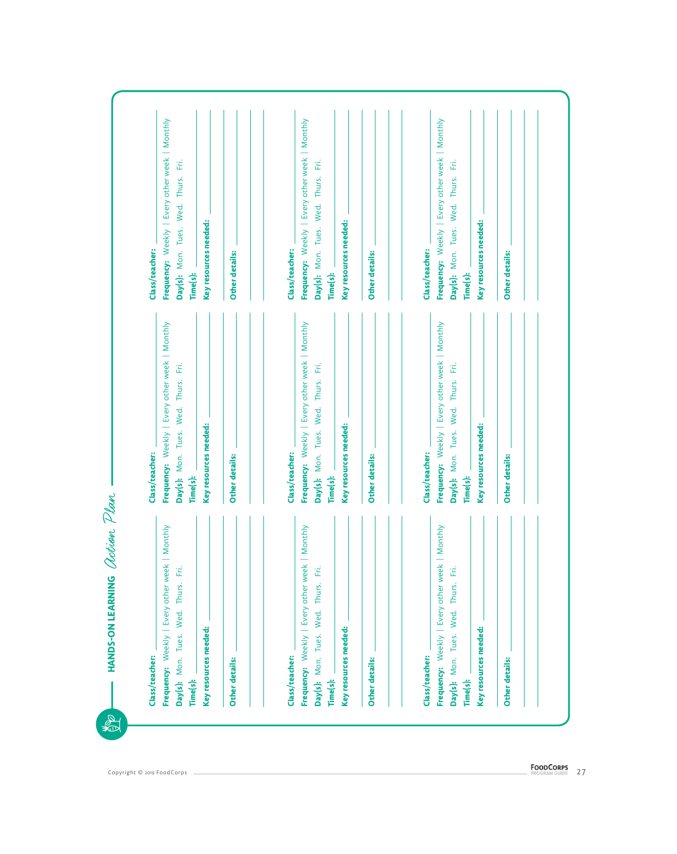| Class/teacher:                                                                                                     | Class/teacher:                                                                                          | Class/teacher:                                                                                          |
|--------------------------------------------------------------------------------------------------------------------|---------------------------------------------------------------------------------------------------------|---------------------------------------------------------------------------------------------------------|
| Frequency: Weekly   Every other week   Monthly<br>Ë<br>Thurs.<br>Wed.<br>Tues.<br>Mon.<br>Day(s):<br>Time(s):      | Frequency: Weekly   Every other week   Monthly<br>Ë<br>Tues. Wed. Thurs.<br>Mon.<br>Time(s):<br>Day(s): | Frequency: Weekly   Every other week   Monthly<br>Ë<br>Thurs.<br>Wed.<br>Day(s): Mon. Tues.<br>Time(s): |
| Key resources needed:                                                                                              | Key resources needed:                                                                                   | Key resources needed:                                                                                   |
| <b>Other details:</b>                                                                                              | Other details:                                                                                          | Other details:                                                                                          |
| Class/teacher:                                                                                                     | Class/teacher:                                                                                          | Class/teacher:                                                                                          |
| Monthly<br>Every other week<br>Ë<br>Thurs.<br>Wed.<br>Tues.<br>Weekly<br>Mon.<br>Frequency:<br>Day(s):<br>Time(s): | Frequency: Weekly   Every other week   Monthly<br>Day(s): Mon. Tues. Wed. Thurs. Fri.<br>Time(s):       | Frequency: Weekly   Every other week   Monthly<br>Day(s): Mon. Tues. Wed. Thurs. Fri.<br>Time(s):       |
| Key resources needed:                                                                                              | Key resources needed:                                                                                   | Key resources needed:                                                                                   |
| Other details:                                                                                                     | Other details:                                                                                          | Other details:                                                                                          |
| Class/teacher:                                                                                                     | Class/teacher:                                                                                          | Class/teacher:                                                                                          |
| Frequency: Weekly   Every other week   Monthly<br>Ë<br>Thurs.<br>Wed.<br>Tues.<br>Day(s): Mon.<br>Time(s):         | Frequency: Weekly   Every other week   Monthly<br>Ë<br>Day(s): Mon. Tues. Wed. Thurs.<br>Time(s):       | Frequency: Weekly   Every other week   Monthly<br>ΈÉ.<br>Day(s): Mon. Tues. Wed. Thurs.<br>Time(s):     |
| Key resources needed:                                                                                              | Key resources needed:                                                                                   | Key resources needed:                                                                                   |
| Other details:                                                                                                     | <b>Other details:</b>                                                                                   | <b>Other details:</b>                                                                                   |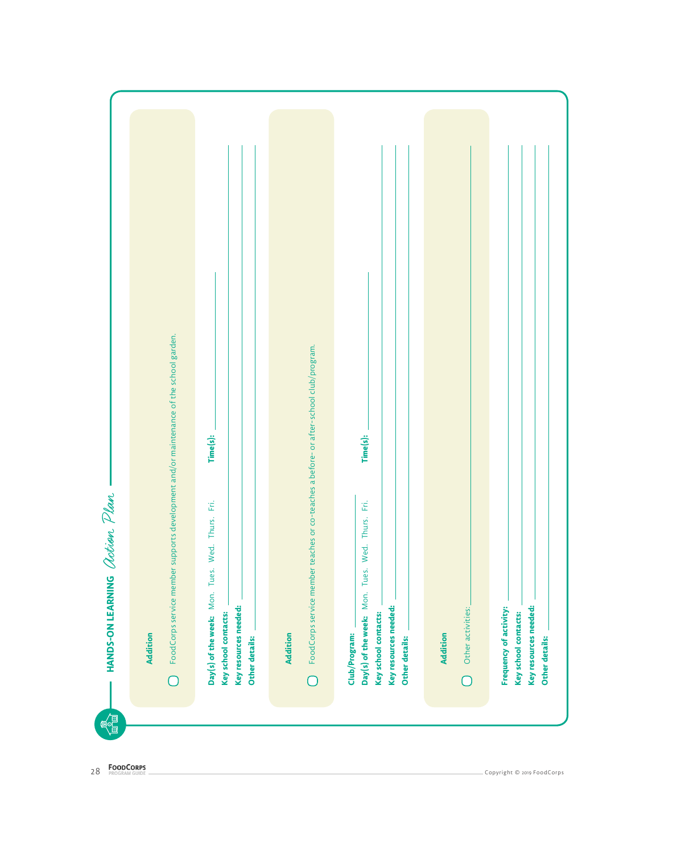| FoodCorps service member supports development and/or maintenance of the school garden. | Time(s):                                                                                               | FoodCorps service member teaches or co-teaches a before- or after-school club/program. | Time(s):                                                                                                     |                   |                                                                                           |
|----------------------------------------------------------------------------------------|--------------------------------------------------------------------------------------------------------|----------------------------------------------------------------------------------------|--------------------------------------------------------------------------------------------------------------|-------------------|-------------------------------------------------------------------------------------------|
|                                                                                        |                                                                                                        |                                                                                        |                                                                                                              |                   |                                                                                           |
|                                                                                        | Thurs. Fri.                                                                                            |                                                                                        | Ë<br>Thurs.                                                                                                  |                   |                                                                                           |
|                                                                                        |                                                                                                        |                                                                                        | Wed.                                                                                                         |                   |                                                                                           |
|                                                                                        |                                                                                                        |                                                                                        | Tues.                                                                                                        |                   |                                                                                           |
|                                                                                        |                                                                                                        |                                                                                        |                                                                                                              | Other activities: |                                                                                           |
| <b>Addition</b>                                                                        | Day(s) of the week: Mon. Tues. Wed.<br>Key resources needed:<br>Key school contacts:<br>Other details: | <b>Addition</b>                                                                        | Day(s) of the week: Mon.<br>Key resources needed:<br>Key school contacts:<br>Club/Program:<br>Other details: | <b>Addition</b>   | Key resources needed:<br>Frequency of activity:<br>Key school contacts:<br>Other details: |
| $\overline{\bigcirc}$                                                                  |                                                                                                        | ∩                                                                                      |                                                                                                              | ┐                 |                                                                                           |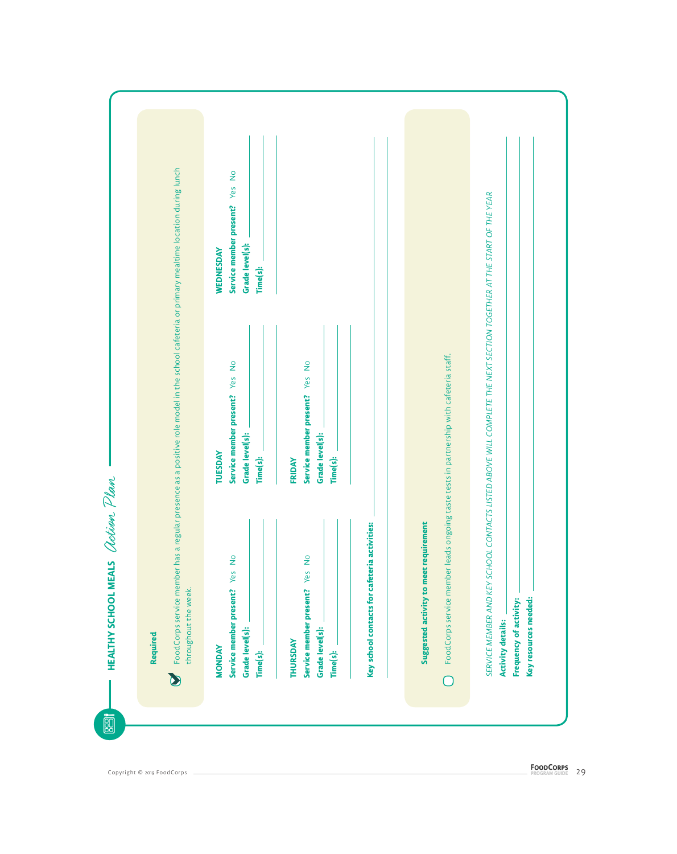| FoodCorps service member has a regular presence as a positive role model in the school cafeteria or primary mealtime location during lunch | Service member present? Yes No                              |                                                        |                                                                                         | NTACTS LISTED ABOVE WILL COMPLETE THE NEXT SECTION TOGETHER AT THE START OF THE YEAR |
|--------------------------------------------------------------------------------------------------------------------------------------------|-------------------------------------------------------------|--------------------------------------------------------|-----------------------------------------------------------------------------------------|--------------------------------------------------------------------------------------|
|                                                                                                                                            | Grade level(s):<br>WEDNESDAY<br>Time(s):                    |                                                        |                                                                                         |                                                                                      |
|                                                                                                                                            | $\frac{1}{2}$                                               |                                                        |                                                                                         |                                                                                      |
|                                                                                                                                            | Yes                                                         |                                                        |                                                                                         |                                                                                      |
|                                                                                                                                            | Service member present?<br>Grade level(s):<br>TUESDAY       | Service member present? Yes No<br>Grade level(s):      | FoodCorps service member leads ongoing taste tests in partnership with cafeteria staff. |                                                                                      |
|                                                                                                                                            | Time(s):                                                    | Time(s):<br>FRIDAY                                     |                                                                                         |                                                                                      |
|                                                                                                                                            | $\frac{1}{2}$                                               | $\frac{1}{2}$                                          |                                                                                         |                                                                                      |
|                                                                                                                                            | Yes                                                         | Key school contacts for cafeteria activities:<br>Yes   | Suggested activity to meet requirement                                                  | SERVICE MEMBER AND KEY SCHOOL CO.                                                    |
| throughout the week.<br>Required                                                                                                           | Service member present?<br>Grade level(s):<br><b>MONDAY</b> | Service member present?<br>Grade level(s):<br>THURSDAY |                                                                                         | Key resources needed:<br>Frequency of activity:<br><b>Activity details:</b>          |
|                                                                                                                                            | Time(s):                                                    | Time(s):                                               | $\overline{\bigcap}$                                                                    |                                                                                      |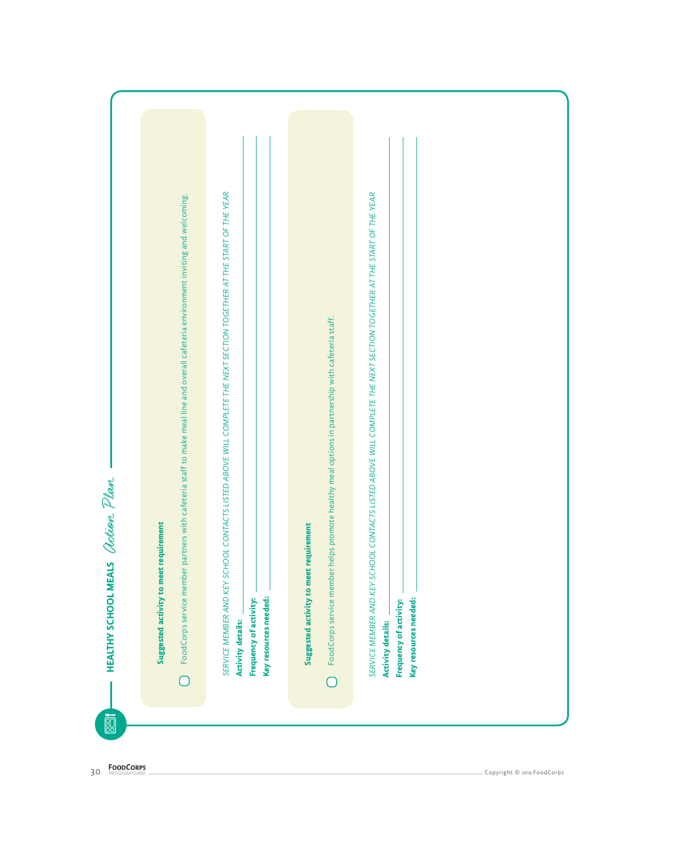| SERVICE MEMBER AND KEY SCHOOL CONTACTS LISTED ABOVE WILL COMPLETE THE NEXT SECTION TOGETHER AT THE START OF THE YEAR<br>FoodCorps service member partners with cafeteria staff to make meal line and overall cafeteria environment inviting and welcoming. |                                                                                                                                            | SERVICE MEMBER AND KEY SCHOOL CONTACTS LISTED ABOVE WILL COMPLETE THE NEXT SECTION TOGETHER AT THE START OF THE YEAR |  |
|------------------------------------------------------------------------------------------------------------------------------------------------------------------------------------------------------------------------------------------------------------|--------------------------------------------------------------------------------------------------------------------------------------------|----------------------------------------------------------------------------------------------------------------------|--|
| Suggested activity to meet requirement<br>Key resources needed:<br>Frequency of activity:<br><b>Activity details:</b><br>∩                                                                                                                                 | FoodCorps service member helps promote healthy meal options in partnership with cafeteria staff.<br>Suggested activity to meet requirement | Key resources needed:<br>Frequency of activity:<br><b>Activity details:</b>                                          |  |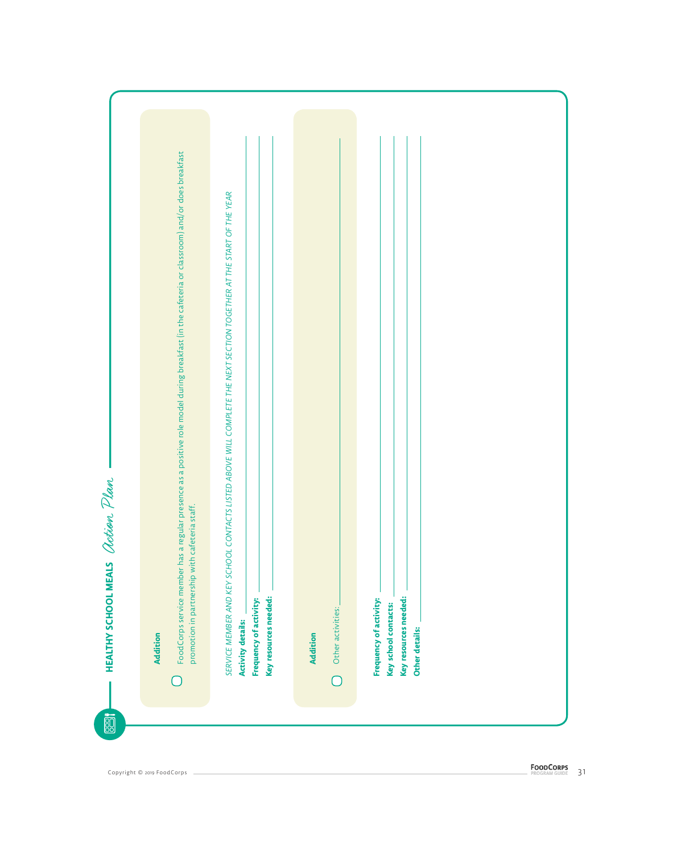| FoodCorps service member has a regular presence as a positive role model during breakfast (in the cafeteria or classroom) and/or does breakfast |                                                                                                                                                                                                     |                                      |                                                                                           |  |
|-------------------------------------------------------------------------------------------------------------------------------------------------|-----------------------------------------------------------------------------------------------------------------------------------------------------------------------------------------------------|--------------------------------------|-------------------------------------------------------------------------------------------|--|
|                                                                                                                                                 |                                                                                                                                                                                                     |                                      |                                                                                           |  |
|                                                                                                                                                 |                                                                                                                                                                                                     |                                      |                                                                                           |  |
|                                                                                                                                                 |                                                                                                                                                                                                     |                                      |                                                                                           |  |
|                                                                                                                                                 |                                                                                                                                                                                                     |                                      |                                                                                           |  |
| promotion in partnership with cafeteria staff.                                                                                                  |                                                                                                                                                                                                     |                                      |                                                                                           |  |
| <b>Addition</b>                                                                                                                                 | SERVICE MEMBER AND KEY SCHOOL CONTACTS LISTED ABOVE WILL COMPLETE THE NEXT SECTION TOGETHER AT THE START OF THE YEAR<br>Key resources needed:<br>Frequency of activity:<br><b>Activity details:</b> | Other activities:<br><b>Addition</b> | Key resources needed:<br>Frequency of activity:<br>Key school contacts:<br>Other details: |  |
|                                                                                                                                                 |                                                                                                                                                                                                     | $\overline{\bigcirc}$                |                                                                                           |  |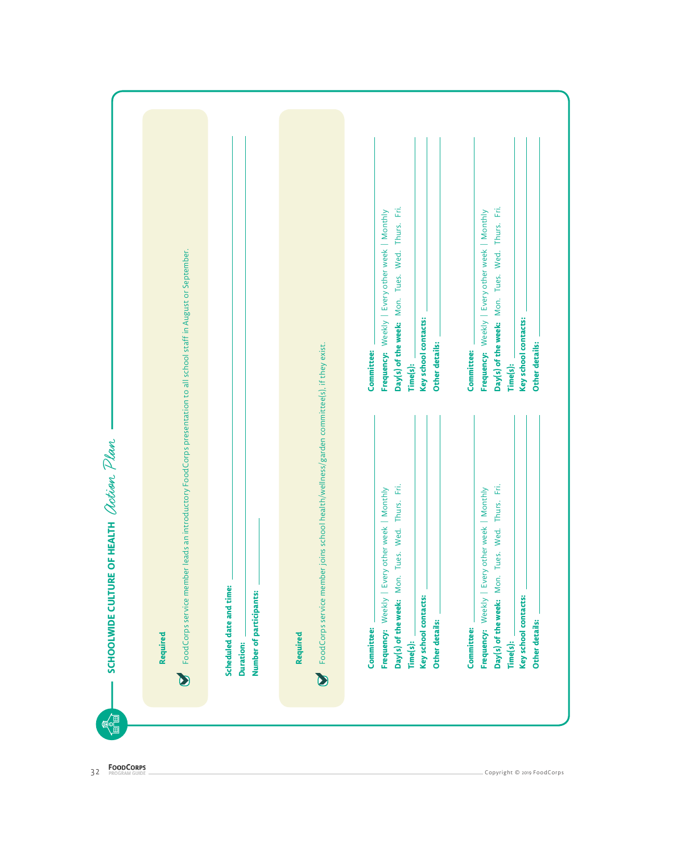| introductory FoodCorps presentation to all school staff in August or September.                                          | Committee:                                                                                                                       | Day(s) of the week: Mon. Tues. Wed. Thurs. Fri.<br>Frequency: Weekly   Every other week   Monthly<br>Key school contacts:<br>Time(s):          | Other details:<br>Committee: | Day(s) of the week: Mon. Tues. Wed. Thurs. Fri.<br>Frequency: Weekly   Every other week   Monthly<br>Time(s):       | Key school contacts:<br>Other details: |
|--------------------------------------------------------------------------------------------------------------------------|----------------------------------------------------------------------------------------------------------------------------------|------------------------------------------------------------------------------------------------------------------------------------------------|------------------------------|---------------------------------------------------------------------------------------------------------------------|----------------------------------------|
| FoodCorps service member leads an<br>Scheduled date and time:<br>Number of participants:<br>Required<br><b>Duration:</b> | FoodCorps service member joins school health/wellness/garden committee(s), if they exist.<br>Committee:<br>Required<br>$\bullet$ | Wed. Thurs. Fri.<br>Frequency: Weekly   Every other week   Monthly<br>Tues.<br>Mon.<br>Key school contacts:<br>Day(s) of the week:<br>Time(s): | Other details:<br>Committee: | Mon. Tues. Wed. Thurs. Fri.<br>  Every other week   Monthly<br>Frequency: Weekly<br>Day(s) of the week:<br>Time(s): | Key school contacts:<br>Other details: |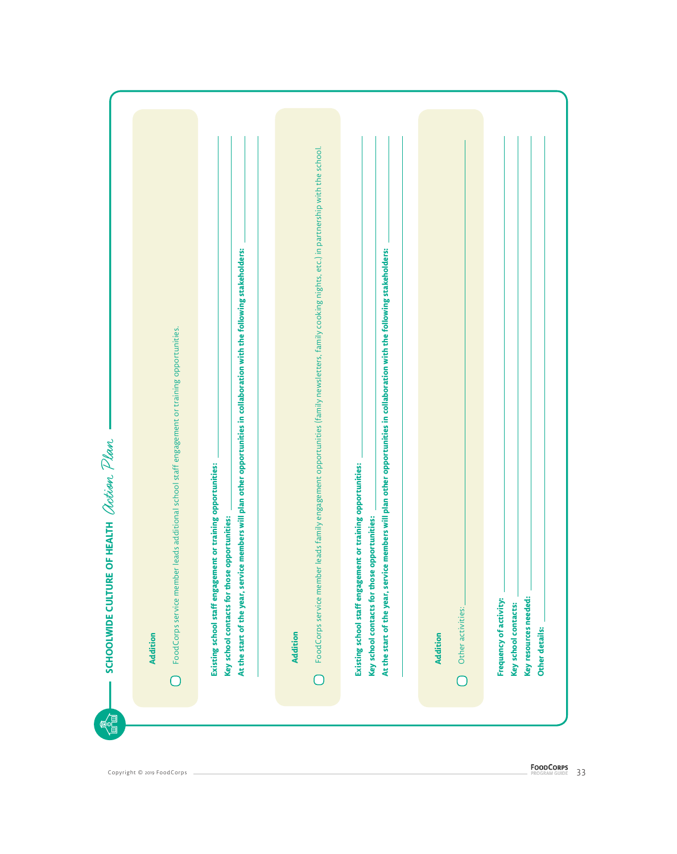|                                                                                              |                                                                                                                                                                                                                                          | FoodCorps service member leads family engagement opportunities (family newsletters, family cooking nights, etc.) in partnership with the school. |                                                                                                                                                                                                                                          |                                      |                                                                                           |
|----------------------------------------------------------------------------------------------|------------------------------------------------------------------------------------------------------------------------------------------------------------------------------------------------------------------------------------------|--------------------------------------------------------------------------------------------------------------------------------------------------|------------------------------------------------------------------------------------------------------------------------------------------------------------------------------------------------------------------------------------------|--------------------------------------|-------------------------------------------------------------------------------------------|
|                                                                                              |                                                                                                                                                                                                                                          |                                                                                                                                                  |                                                                                                                                                                                                                                          |                                      |                                                                                           |
|                                                                                              |                                                                                                                                                                                                                                          |                                                                                                                                                  |                                                                                                                                                                                                                                          |                                      |                                                                                           |
| FoodCorps service member leads additional school staff engagement or training opportunities. |                                                                                                                                                                                                                                          |                                                                                                                                                  |                                                                                                                                                                                                                                          |                                      |                                                                                           |
|                                                                                              |                                                                                                                                                                                                                                          |                                                                                                                                                  |                                                                                                                                                                                                                                          |                                      |                                                                                           |
|                                                                                              |                                                                                                                                                                                                                                          |                                                                                                                                                  |                                                                                                                                                                                                                                          |                                      |                                                                                           |
|                                                                                              |                                                                                                                                                                                                                                          |                                                                                                                                                  |                                                                                                                                                                                                                                          |                                      |                                                                                           |
| Addition                                                                                     | At the start of the year, service members will plan other opportunities in collaboration with the following stakeholders:<br>Existing school staff engagement or training opportunities:<br>Key school contacts for those opportunities: | <b>Addition</b>                                                                                                                                  | At the start of the year, service members will plan other opportunities in collaboration with the following stakeholders:<br>Existing school staff engagement or training opportunities:<br>Key school contacts for those opportunities: | Other activities:<br><b>Addition</b> | Key resources needed:<br>Frequency of activity:<br>Key school contacts:<br>Other details: |
|                                                                                              |                                                                                                                                                                                                                                          |                                                                                                                                                  |                                                                                                                                                                                                                                          |                                      |                                                                                           |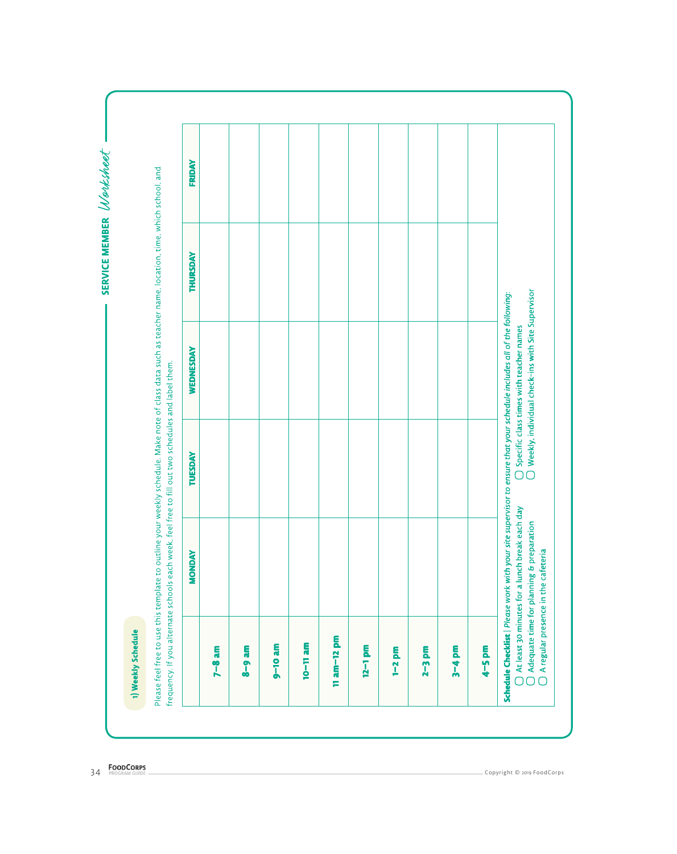|                      | <b>MONDAY</b> | TUESDAY | <b>WEDNESDAY</b> | THURSDAY | <b>FRIDAY</b> |
|----------------------|---------------|---------|------------------|----------|---------------|
| $7 - 8$ am           |               |         |                  |          |               |
| E<br>$8 - 8$         |               |         |                  |          |               |
| ā<br>$9 - 10$        |               |         |                  |          |               |
| $10 - 11$ am         |               |         |                  |          |               |
| E<br>$11$ am $-12$   |               |         |                  |          |               |
| $12 - 1$ pm          |               |         |                  |          |               |
| 5.<br>$\overline{1}$ |               |         |                  |          |               |
| 툆<br>$2-3$           |               |         |                  |          |               |
| $3 - 4$ pm           |               |         |                  |          |               |
| $4-5$ pm             |               |         |                  |          |               |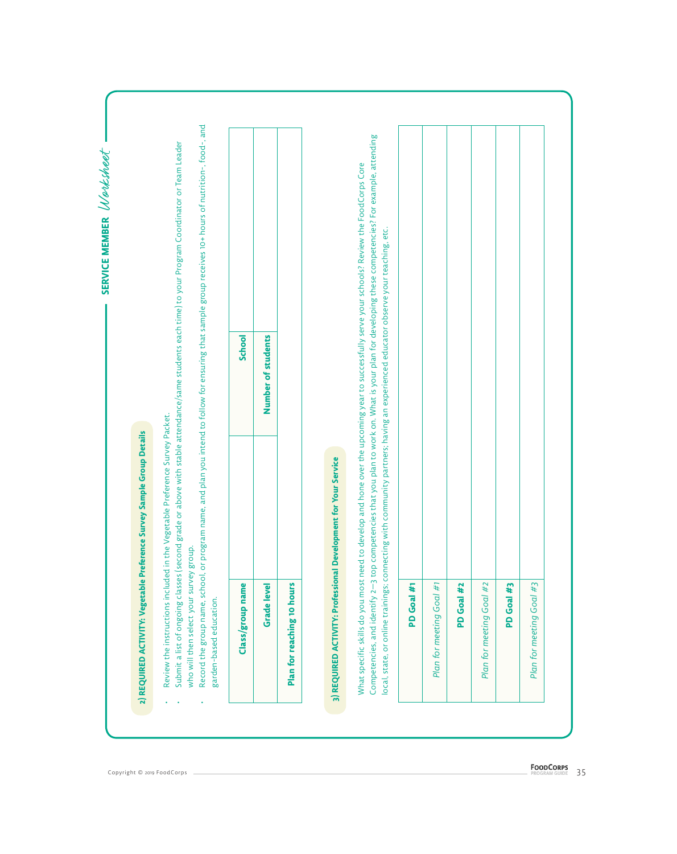| Submit a list of ongoing classes (second<br>who will then select your survey group. |                                                                                                                                                                                                                                                                                     |                    | Record the group name, school, or program name, and plan you intend to follow for ensuring that sample group receives 10+ hours of nutrition-, food-, and<br>grade or above with stable attendance/same students each time) to your Program Coordinator or Team Leader |
|-------------------------------------------------------------------------------------|-------------------------------------------------------------------------------------------------------------------------------------------------------------------------------------------------------------------------------------------------------------------------------------|--------------------|------------------------------------------------------------------------------------------------------------------------------------------------------------------------------------------------------------------------------------------------------------------------|
| Class/group name<br>garden-based education.                                         |                                                                                                                                                                                                                                                                                     | School             |                                                                                                                                                                                                                                                                        |
| <b>Grade level</b>                                                                  |                                                                                                                                                                                                                                                                                     | Number of students |                                                                                                                                                                                                                                                                        |
| Plan for reaching 10 hours                                                          |                                                                                                                                                                                                                                                                                     |                    |                                                                                                                                                                                                                                                                        |
|                                                                                     | What specific skills do you most need to develop and hone over the upcoming year to successfully serve your schools? Review the FoodCorps Core<br>local, state, or online trainings; connecting with community partners; having an experienced educator observe your teaching, etc. |                    | Competencies, and identify 2–3 top competencies that you plan to work on. What is your plan for developing these competencies? For example, attending                                                                                                                  |
| #<br>PD Goal                                                                        |                                                                                                                                                                                                                                                                                     |                    |                                                                                                                                                                                                                                                                        |
| Plan for meeting Goal #1                                                            |                                                                                                                                                                                                                                                                                     |                    |                                                                                                                                                                                                                                                                        |
| #2<br>PD Goal                                                                       |                                                                                                                                                                                                                                                                                     |                    |                                                                                                                                                                                                                                                                        |
| #2<br>Goal<br>Plan for meeting                                                      |                                                                                                                                                                                                                                                                                     |                    |                                                                                                                                                                                                                                                                        |
| #3<br>Goal<br><b>Q</b>                                                              |                                                                                                                                                                                                                                                                                     |                    |                                                                                                                                                                                                                                                                        |
| #3<br>Plan for meeting Goal                                                         |                                                                                                                                                                                                                                                                                     |                    |                                                                                                                                                                                                                                                                        |

Z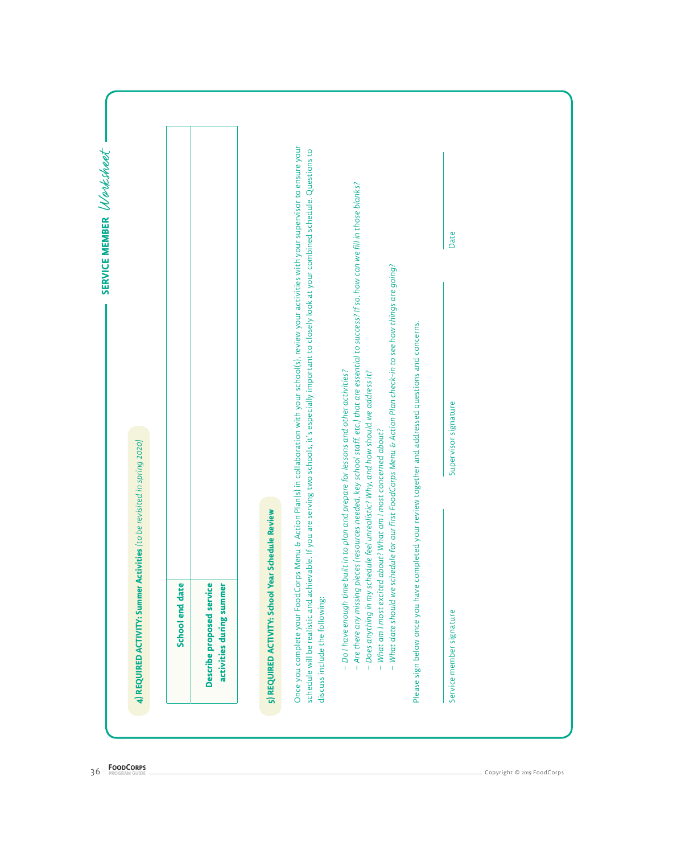| – Are there any missing pieces (resources needed, key school staff, etc.) that are essential to success? If so, how can we fill in those blanks?<br>Date<br>What date should we schedule for our first FoodCorps Menu & Action Plan check-in to see how things are going?<br>Please sign below once you have completed your review together and addressed questions and concerns.<br>- Do I have enough time built in to plan and prepare for lessons and other activities?<br>- Does anything in my schedule feel unrealistic? Why, and how should we address it?<br>Supervisor signature<br>What am I most excited about? What am I most concerned about?<br>Review<br>schedule will be realistic and achievable. If you<br>discuss include the following:<br>Service member signature<br>$\mathbf{I}$<br>$\mathbf{I}$ |
|--------------------------------------------------------------------------------------------------------------------------------------------------------------------------------------------------------------------------------------------------------------------------------------------------------------------------------------------------------------------------------------------------------------------------------------------------------------------------------------------------------------------------------------------------------------------------------------------------------------------------------------------------------------------------------------------------------------------------------------------------------------------------------------------------------------------------|
|                                                                                                                                                                                                                                                                                                                                                                                                                                                                                                                                                                                                                                                                                                                                                                                                                          |
|                                                                                                                                                                                                                                                                                                                                                                                                                                                                                                                                                                                                                                                                                                                                                                                                                          |
|                                                                                                                                                                                                                                                                                                                                                                                                                                                                                                                                                                                                                                                                                                                                                                                                                          |
|                                                                                                                                                                                                                                                                                                                                                                                                                                                                                                                                                                                                                                                                                                                                                                                                                          |
| Once you complete your FoodCorps Menu & Action Plan(s) in collaboration with your school(s), review your activities with your supervisor to ensure your<br>are serving two schools, it's especially important to closely look at your combined schedule. Questions to                                                                                                                                                                                                                                                                                                                                                                                                                                                                                                                                                    |
| 5) REQUIRED ACTIVITY: School Year Schedule                                                                                                                                                                                                                                                                                                                                                                                                                                                                                                                                                                                                                                                                                                                                                                               |
|                                                                                                                                                                                                                                                                                                                                                                                                                                                                                                                                                                                                                                                                                                                                                                                                                          |
| Describe proposed service<br>activities during summer                                                                                                                                                                                                                                                                                                                                                                                                                                                                                                                                                                                                                                                                                                                                                                    |